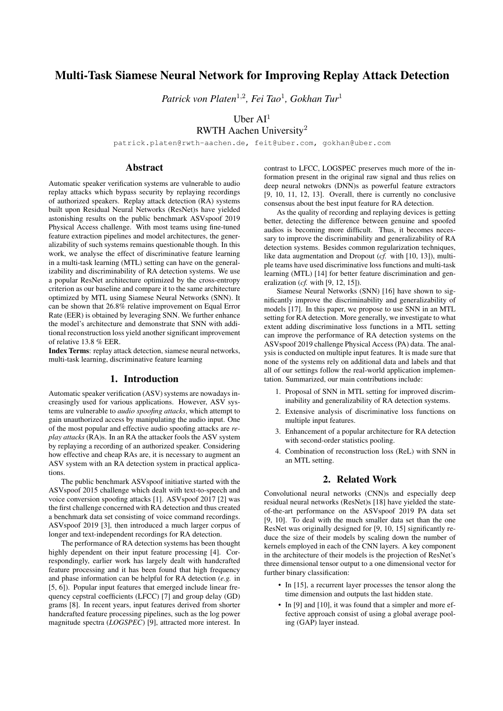# Multi-Task Siamese Neural Network for Improving Replay Attack Detection

*Patrick von Platen*<sup>1</sup>,<sup>2</sup> *, Fei Tao*<sup>1</sup> *, Gokhan Tur*<sup>1</sup>

Uber  $AI<sup>1</sup>$ 

RWTH Aachen University<sup>2</sup>

patrick.platen@rwth-aachen.de, feit@uber.com, gokhan@uber.com

## Abstract

Automatic speaker verification systems are vulnerable to audio replay attacks which bypass security by replaying recordings of authorized speakers. Replay attack detection (RA) systems built upon Residual Neural Networks (ResNet)s have yielded astonishing results on the public benchmark ASVspoof 2019 Physical Access challenge. With most teams using fine-tuned feature extraction pipelines and model architectures, the generalizability of such systems remains questionable though. In this work, we analyse the effect of discriminative feature learning in a multi-task learning (MTL) setting can have on the generalizability and discriminability of RA detection systems. We use a popular ResNet architecture optimized by the cross-entropy criterion as our baseline and compare it to the same architecture optimized by MTL using Siamese Neural Networks (SNN). It can be shown that 26.8% relative improvement on Equal Error Rate (EER) is obtained by leveraging SNN. We further enhance the model's architecture and demonstrate that SNN with additional reconstruction loss yield another significant improvement of relative 13.8 % EER.

Index Terms: replay attack detection, siamese neural networks, multi-task learning, discriminative feature learning

## 1. Introduction

Automatic speaker verification (ASV) systems are nowadays increasingly used for various applications. However, ASV systems are vulnerable to *audio spoofing attacks*, which attempt to gain unauthorized access by manipulating the audio input. One of the most popular and effective audio spoofing attacks are *replay attacks* (RA)s. In an RA the attacker fools the ASV system by replaying a recording of an authorized speaker. Considering how effective and cheap RAs are, it is necessary to augment an ASV system with an RA detection system in practical applications.

The public benchmark ASVspoof initiative started with the ASVspoof 2015 challenge which dealt with text-to-speech and voice conversion spoofing attacks [1]. ASVspoof 2017 [2] was the first challenge concerned with RA detection and thus created a benchmark data set consisting of voice command recordings. ASVspoof 2019 [3], then introduced a much larger corpus of longer and text-independent recordings for RA detection.

The performance of RA detection systems has been thought highly dependent on their input feature processing [4]. Correspondingly, earlier work has largely dealt with handcrafted feature processing and it has been found that high frequency and phase information can be helpful for RA detection (*e.g.* in [5, 6]). Popular input features that emerged include linear frequency cepstral coefficients (LFCC) [7] and group delay (GD) grams [8]. In recent years, input features derived from shorter handcrafted feature processing pipelines, such as the log power magnitude spectra (*LOGSPEC*) [9], attracted more interest. In contrast to LFCC, LOGSPEC preserves much more of the information present in the original raw signal and thus relies on deep neural netwokrs (DNN)s as powerful feature extractors [9, 10, 11, 12, 13]. Overall, there is currently no conclusive consensus about the best input feature for RA detection.

As the quality of recording and replaying devices is getting better, detecting the difference between genuine and spoofed audios is becoming more difficult. Thus, it becomes necessary to improve the discriminability and generalizability of RA detection systems. Besides common regularization techniques, like data augmentation and Dropout (*cf.* with [10, 13]), multiple teams have used discriminative loss functions and multi-task learning (MTL) [14] for better feature discrimination and generalization (*cf.* with [9, 12, 15]).

Siamese Neural Networks (SNN) [16] have shown to significantly improve the discriminability and generalizability of models [17]. In this paper, we propose to use SNN in an MTL setting for RA detection. More generally, we investigate to what extent adding discriminative loss functions in a MTL setting can improve the performance of RA detection systems on the ASVspoof 2019 challenge Physical Access (PA) data. The analysis is conducted on multiple input features. It is made sure that none of the systems rely on additional data and labels and that all of our settings follow the real-world application implementation. Summarized, our main contributions include:

- 1. Proposal of SNN in MTL setting for improved discriminability and generalizability of RA detection systems.
- 2. Extensive analysis of discriminative loss functions on multiple input features.
- 3. Enhancement of a popular architecture for RA detection with second-order statistics pooling.
- 4. Combination of reconstruction loss (ReL) with SNN in an MTL setting.

## 2. Related Work

Convolutional neural networks (CNN)s and especially deep residual neural networks (ResNet)s [18] have yielded the stateof-the-art performance on the ASVspoof 2019 PA data set [9, 10]. To deal with the much smaller data set than the one ResNet was originally designed for [9, 10, 15] significantly reduce the size of their models by scaling down the number of kernels employed in each of the CNN layers. A key component in the architecture of their models is the projection of ResNet's three dimensional tensor output to a one dimensional vector for further binary classification:

- In [15], a recurrent layer processes the tensor along the time dimension and outputs the last hidden state.
- In [9] and [10], it was found that a simpler and more effective approach consist of using a global average pooling (GAP) layer instead.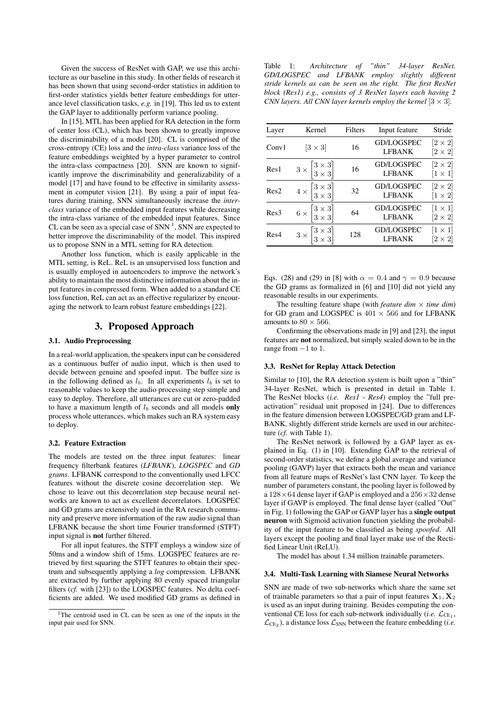Given the success of ResNet with GAP, we use this architecture as our baseline in this study. In other fields of research it has been shown that using second-order statistics in addition to first-order statistics yields better feature embeddings for utterance level classification tasks, *e.g.* in [19]. This led us to extent the GAP layer to additionally perform variance pooling.

In [15], MTL has been applied for RA detection in the form of center loss (CL), which has been shown to greatly improve the discriminability of a model [20]. CL is comprised of the cross-entropy (CE) loss and the *intra-class* variance loss of the feature embeddings weighted by a hyper parameter to control the intra-class compactness [20]. SNN are known to significantly improve the discriminability and generalizability of a model [17] and have found to be effective in similarity assessment in computer vision [21]. By using a pair of input features during training, SNN simultaneously increase the *interclass* variance of the embedded input features while decreasing the intra-class variance of the embedded input features. Since CL can be seen as a special case of SNN  $<sup>1</sup>$ , SNN are expected to</sup> better improve the discriminability of the model. This inspired us to propose SNN in a MTL setting for RA detection.

Another loss function, which is easily applicable in the MTL setting, is ReL. ReL is an unsupervised loss function and is usually employed in autoencoders to improve the network's ability to maintain the most distinctive information about the input features in compressed form. When added to a standard CE loss function, ReL can act as an effective regularizer by encouraging the network to learn robust feature embeddings [22].

## 3. Proposed Approach

#### 3.1. Audio Preprocessing

In a real-world application, the speakers input can be considered as a continuous buffer of audio input, which is then used to decide between genuine and spoofed input. The buffer size is in the following defined as  $l_b$ . In all experiments  $l_b$  is set to reasonable values to keep the audio processing step simple and easy to deploy. Therefore, all utterances are cut or zero-padded to have a maximum length of  $l<sub>b</sub>$  seconds and all models only process whole utterances, which makes such an RA system easy to deploy.

#### 3.2. Feature Extraction

The models are tested on the three input features: linear frequency filterbank features (*LFBANK*), *LOGSPEC* and *GD grams*. LFBANK correspond to the conventionally used LFCC features without the discrete cosine decorrelation step. We chose to leave out this decorrelation step because neural networks are known to act as excellent decorrelators. LOGSPEC and GD grams are extensively used in the RA research community and preserve more information of the raw audio signal than LFBANK because the short time Fourier transformed (STFT) input signal is not further filtered.

For all input features, the STFT employs a window size of 50ms and a window shift of 15ms. LOGSPEC features are retrieved by first squaring the STFT features to obtain their spectrum and subsequently applying a *log* compression. LFBANK are extracted by further applying 80 evenly spaced triangular filters (*cf.* with [23]) to the LOGSPEC features. No delta coefficients are added. We used modified GD grams as defined in

Table 1: *Architecture of "thin" 34-layer ResNet. GD/LOGSPEC and LFBANK employ slightly different stride kernels as can be seen on the right. The first ResNet block (Res1) e.g., consists of 3 ResNet layers each having 2 CNN layers. All CNN layer kernels employ the kernel*  $[3 \times 3]$ *.* 

| Layer | Kernel                                                            | Filters | Input feature                      | Stride                          |
|-------|-------------------------------------------------------------------|---------|------------------------------------|---------------------------------|
| Conv1 | $[3\times3]$                                                      | 16      | <b>GD/LOGSPEC</b><br><b>LFBANK</b> | $[2 \times 2]$<br>$[2\times 2]$ |
| Res1  | $3 \times \begin{bmatrix} 3 \times 3 \\ 3 \times 3 \end{bmatrix}$ | 16      | <b>GD/LOGSPEC</b><br><b>LFBANK</b> | $[2\times 2]$<br>$[1 \times 1]$ |
| Res2  | $4 \times \begin{bmatrix} 3 \times 3 \\ 3 \times 3 \end{bmatrix}$ | 32      | <b>GD/LOGSPEC</b><br><b>LFBANK</b> | $[2\times 2]$<br>$[1 \times 2]$ |
| Res3  | $6 \times \begin{bmatrix} 3 \times 3 \\ 3 \times 3 \end{bmatrix}$ | 64      | <b>GD/LOGSPEC</b><br><b>LFBANK</b> | $[1 \times 1]$<br>$[2\times 2]$ |
| Res4  | $3 \times \begin{bmatrix} 3 \times 3 \\ 3 \times 3 \end{bmatrix}$ | 128     | <b>GD/LOGSPEC</b><br><b>LFBANK</b> | $ 1\times1 $<br>$[2\times2]$    |

Eqs. (28) and (29) in [8] with  $\alpha = 0.4$  and  $\gamma = 0.9$  because the GD grams as formalized in [6] and [10] did not yield any reasonable results in our experiments.

The resulting feature shape (with *feature dim*  $\times$  *time dim*) for GD gram and LOGSPEC is  $401 \times 566$  and for LFBANK amounts to  $80 \times 566$ .

Confirming the observations made in [9] and [23], the input features are not normalized, but simply scaled down to be in the range from  $-1$  to 1.

#### 3.3. ResNet for Replay Attack Detection

Similar to [10], the RA detection system is built upon a "thin" 34-layer ResNet, which is presented in detail in Table 1. The ResNet blocks (*i.e. Res1* - *Res4*) employ the "full preactivation" residual unit proposed in [24]. Due to differences in the feature dimension between LOGSPEC/GD gram and LF-BANK, slightly different stride kernels are used in our architecture (*cf.* with Table 1).

The ResNet network is followed by a GAP layer as explained in Eq. (1) in [10]. Extending GAP to the retrieval of second-order statistics, we define a global average and variance pooling (GAVP) layer that extracts both the mean and variance from all feature maps of ResNet's last CNN layer. To keep the number of parameters constant, the pooling layer is followed by a  $128 \times 64$  dense layer if GAP is employed and a  $256 \times 32$  dense layer if GAVP is employed. The final dense layer (called "Out" in Fig. 1) following the GAP or GAVP layer has a single output neuron with Sigmoid activation function yielding the probability of the input feature to be classified as being *spoofed*. All layers except the pooling and final layer make use of the Rectified Linear Unit (ReLU).

The model has about 1.34 million trainable parameters.

#### 3.4. Multi-Task Learning with Siamese Neural Networks

SNN are made of two sub-networks which share the same set of trainable parameters so that a pair of input features  $X_1, X_2$ is used as an input during training. Besides computing the conventional CE loss for each sub-network individually (*i.e.*  $\mathcal{L}_{CE_1}$ ,  $\mathcal{L}_{CE_2}$ ), a distance loss  $\mathcal{L}_{SNN}$  between the feature embedding (*i.e.* 

<sup>&</sup>lt;sup>1</sup>The centroid used in CL can be seen as one of the inputs in the input pair used for SNN.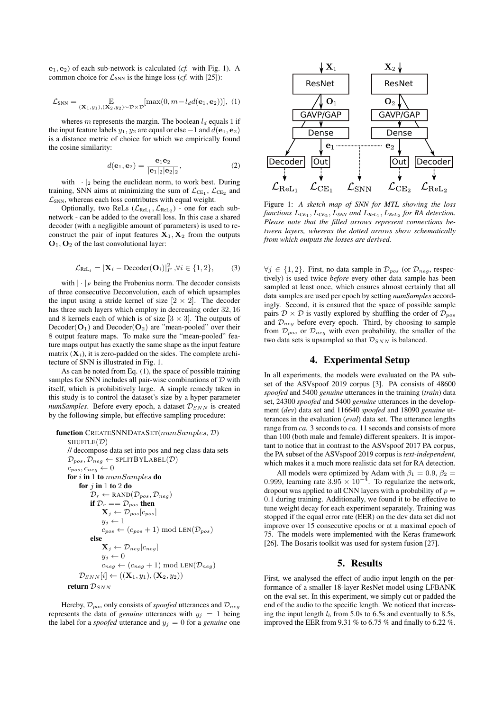$e_1, e_2$ ) of each sub-network is calculated (*cf.* with Fig. 1). A common choice for  $\mathcal{L}_{SNN}$  is the hinge loss (*cf.* with [25]):

$$
\mathcal{L}_{\text{SNN}} = \underset{(\mathbf{X}_1, y_1), (\mathbf{X}_2, y_2) \sim \mathcal{D} \times \mathcal{D}}{\mathbb{E}}[\max(0, m - l_d d(\mathbf{e}_1, \mathbf{e}_2))], (1)
$$

wheres m represents the margin. The boolean  $l_d$  equals 1 if the input feature labels  $y_1, y_2$  are equal or else  $-1$  and  $d(\mathbf{e}_1, \mathbf{e}_2)$ is a distance metric of choice for which we empirically found the cosine similarity:

$$
d(\mathbf{e}_1, \mathbf{e}_2) = \frac{\mathbf{e}_1 \mathbf{e}_2}{|\mathbf{e}_1|_2 |\mathbf{e}_2|_2},\tag{2}
$$

with  $|\cdot|_2$  being the euclidean norm, to work best. During training, SNN aims at minimizing the sum of  $\mathcal{L}_{CE_1}$ ,  $\mathcal{L}_{CE_2}$  and  $\mathcal{L}_{SNN}$ , whereas each loss contributes with equal weight.

Optionally, two ReLs  $(\mathcal{L}_{\text{ReLU}_1}, \mathcal{L}_{\text{ReLU}_2})$  - one for each subnetwork - can be added to the overall loss. In this case a shared decoder (with a negligible amount of parameters) is used to reconstruct the pair of input features  $\mathbf{X}_1, \mathbf{X}_2$  from the outputs  $O_1$ ,  $O_2$  of the last convolutional layer:

$$
\mathcal{L}_{\text{ReLU}_i} = |\mathbf{X}_i - \text{Decoder}(\mathbf{O}_i)|_F^2, \forall i \in \{1, 2\},\tag{3}
$$

with  $|\cdot|_F$  being the Frobenius norm. The decoder consists of three consecutive Deconvolution, each of which upsamples the input using a stride kernel of size  $[2 \times 2]$ . The decoder has three such layers which employ in decreasing order 32, 16 and 8 kernels each of which is of size  $[3 \times 3]$ . The outputs of  $Decoder(O_1)$  and  $Decoder(O_2)$  are "mean-pooled" over their 8 output feature maps. To make sure the "mean-pooled" feature maps output has exactly the same shape as the input feature matrix  $(X_i)$ , it is zero-padded on the sides. The complete architecture of SNN is illustrated in Fig. 1.

As can be noted from Eq. (1), the space of possible training samples for SNN includes all pair-wise combinations of  $D$  with itself, which is prohibitively large. A simple remedy taken in this study is to control the dataset's size by a hyper parameter  $numSamples.$  Before every epoch, a dataset  $\mathcal{D}_{SNN}$  is created by the following simple, but effective sampling procedure:

```
function CREATESNNDATASET(numSamples, D)
SHUFFLE(\mathcal{D})// decompose data set into pos and neg class data sets
\mathcal{D}_{pos}, \mathcal{D}_{neg} \leftarrow \texttt{SPLITBYLABEL}(\mathcal{D})c_{pos}, c_{neg} \leftarrow 0for i in 1 to numSamples do
      for j in 1 to 2 do
            \mathcal{D}_r \leftarrow RAND(\mathcal{D}_{pos}, \mathcal{D}_{neg})if \mathcal{D}_r == \mathcal{D}_{pos} then
                  \mathbf{X}_j \leftarrow \mathcal{D}_{pos}[c_{pos}]y_i \leftarrow 1c_{pos} \leftarrow (c_{pos} + 1) \mod \text{LEN}(\mathcal{D}_{pos})else
                   \mathbf{X}_j \leftarrow \mathcal{D}_{neg} [c_{neg}]y_j \leftarrow 0c_{neg} \leftarrow (c_{neg} + 1) \text{ mod } \text{LEN}(\mathcal{D}_{neg})\mathcal{D}_{SNN}[i] \leftarrow ((\mathbf{X}_1, y_1), (\mathbf{X}_2, y_2))return \mathcal{D}_{SNN}
```
Hereby,  $\mathcal{D}_{pos}$  only consists of *spoofed* utterances and  $\mathcal{D}_{neg}$ represents the data of *genuine* utterances with  $y_j = 1$  being the label for a *spoofed* utterance and  $y_j = 0$  for a *genuine* one



Figure 1: *A sketch map of SNN for MTL showing the loss* functions  $L_{CE_1}, L_{CE_2}, L_{SNN}$  and  $L_{Rel_1}, L_{Rel_2}$  for RA detection. *Please note that the filled arrows represent connections between layers, whereas the dotted arrows show schematically from which outputs the losses are derived.*

 $\forall j \in \{1,2\}$ . First, no data sample in  $\mathcal{D}_{pos}$  (or  $\mathcal{D}_{neg}$ , respectively) is used twice *before* every other data sample has been sampled at least once, which ensures almost certainly that all data samples are used per epoch by setting *numSamples* accordingly. Second, it is ensured that the space of possible sample pairs  $\mathcal{D} \times \mathcal{D}$  is vastly explored by shuffling the order of  $\mathcal{D}_{pos}$ and  $\mathcal{D}_{\text{neg}}$  before every epoch. Third, by choosing to sample from  $\mathcal{D}_{pos}$  or  $\mathcal{D}_{neg}$  with even probability, the smaller of the two data sets is upsampled so that  $\mathcal{D}_{SNN}$  is balanced.

## 4. Experimental Setup

In all experiments, the models were evaluated on the PA subset of the ASVspoof 2019 corpus [3]. PA consists of 48600 *spoofed* and 5400 *genuine* utterances in the training (*train*) data set, 24300 *spoofed* and 5400 *genuine* utterances in the development (*dev*) data set and 116640 *spoofed* and 18090 *genuine* utterances in the evaluation (*eval*) data set. The utterance lengths range from *ca.* 3 seconds to *ca.* 11 seconds and consists of more than 100 (both male and female) different speakers. It is important to notice that in contrast to the ASVspoof 2017 PA corpus, the PA subset of the ASVspoof 2019 corpus is *text-independent*, which makes it a much more realistic data set for RA detection.

All models were optimized by Adam with  $\beta_1 = 0.9$ ,  $\beta_2 =$ 0.999, learning rate  $3.95 \times 10^{-4}$ . To regularize the network, dropout was applied to all CNN layers with a probability of  $p =$ 0.1 during training. Additionally, we found it to be effective to tune weight decay for each experiment separately. Training was stopped if the equal error rate (EER) on the dev data set did not improve over 15 consecutive epochs or at a maximal epoch of 75. The models were implemented with the Keras framework [26]. The Bosaris toolkit was used for system fusion [27].

## 5. Results

First, we analysed the effect of audio input length on the performance of a smaller 18-layer ResNet model using LFBANK on the eval set. In this experiment, we simply cut or padded the end of the audio to the specific length. We noticed that increasing the input length  $l_b$  from 5.0s to 6.5s and eventually to 8.5s, improved the EER from 9.31 % to 6.75 % and finally to 6.22 %.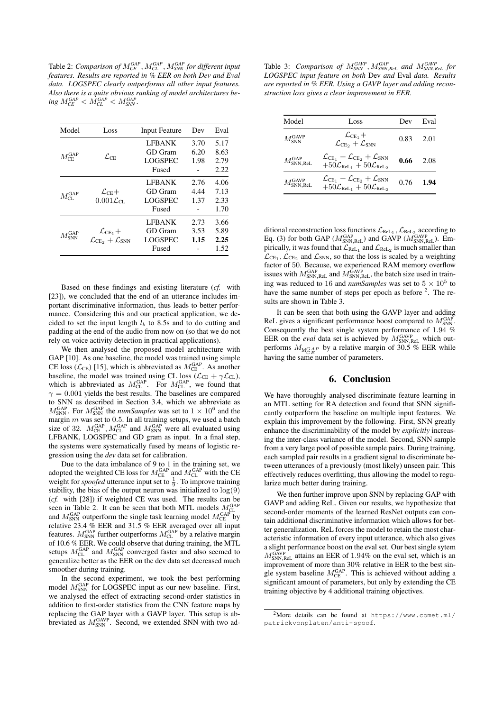Table 2: *Comparison of* M*GAP CE* , M*GAP CL* , M*GAP SNN for different input features. Results are reported in % EER on both Dev and Eval data. LOGSPEC clearly outperforms all other input features. Also there is a quite obvious ranking of model architectures be-* $\log M_{\text{CE}}^{\text{GAP}} < M_{\text{CL}}^{\text{GAP}} < M_{\text{SNN}}^{\text{GAP}}$ .

| <b>LFBANK</b><br>3.70<br>6.20<br>GD Gram<br>$M_{\rm CF}^{\rm GAP}$<br>$\mathcal{L}_{\mathrm{CE}}$<br><b>LOGSPEC</b><br>1.98<br>Fused<br><b>LFBANK</b><br>2.76<br>4.44<br>GD Gram<br>$\mathcal{L}_{\text{CE}}+$<br>$M_{\rm CI}^{\rm GAP}$<br>$0.001\mathcal{L}_{\text{CL}}$<br><b>LOGSPEC</b><br>1.37<br>Fused<br><b>LFBANK</b><br>2.73<br>GD Gram<br>3.53<br>$\mathcal{L}_{CE_1} +$<br>rGAP<br>SNN<br>LOGSPEC<br>1.15<br>$\mathcal{L}_{\text{CE}_{2}}+\mathcal{L}_{\text{SNN}}$<br>Fused | Model | Loss | <b>Input Feature</b> | Dev | Eval |
|------------------------------------------------------------------------------------------------------------------------------------------------------------------------------------------------------------------------------------------------------------------------------------------------------------------------------------------------------------------------------------------------------------------------------------------------------------------------------------------|-------|------|----------------------|-----|------|
|                                                                                                                                                                                                                                                                                                                                                                                                                                                                                          |       |      |                      |     | 5.17 |
|                                                                                                                                                                                                                                                                                                                                                                                                                                                                                          |       |      |                      |     | 8.63 |
|                                                                                                                                                                                                                                                                                                                                                                                                                                                                                          |       |      |                      |     | 2.79 |
|                                                                                                                                                                                                                                                                                                                                                                                                                                                                                          |       |      |                      |     | 2.22 |
|                                                                                                                                                                                                                                                                                                                                                                                                                                                                                          |       |      |                      |     | 4.06 |
|                                                                                                                                                                                                                                                                                                                                                                                                                                                                                          |       |      |                      |     | 7.13 |
|                                                                                                                                                                                                                                                                                                                                                                                                                                                                                          |       |      |                      |     | 2.33 |
|                                                                                                                                                                                                                                                                                                                                                                                                                                                                                          |       |      |                      |     | 1.70 |
|                                                                                                                                                                                                                                                                                                                                                                                                                                                                                          |       |      |                      |     | 3.66 |
|                                                                                                                                                                                                                                                                                                                                                                                                                                                                                          |       |      |                      |     | 5.89 |
|                                                                                                                                                                                                                                                                                                                                                                                                                                                                                          |       |      |                      |     | 2.25 |
|                                                                                                                                                                                                                                                                                                                                                                                                                                                                                          |       |      |                      |     | 1.52 |

Based on these findings and existing literature (*cf.* with [23]), we concluded that the end of an utterance includes important discriminative information, thus leads to better performance. Considering this and our practical application, we decided to set the input length  $l<sub>b</sub>$  to 8.5s and to do cutting and padding at the end of the audio from now on (so that we do not rely on voice activity detection in practical applications).

We then analysed the proposed model architecture with GAP [10]. As one baseline, the model was trained using simple CE loss ( $\mathcal{L}_{CE}$ ) [15], which is abbreviated as  $M_{CE}^{GAP}$ . As another baseline, the model was trained using CL loss ( $\mathcal{L}_{CE} + \gamma \mathcal{L}_{CL}$ ), which is abbreviated as  $M_{CL}^{GAP}$ . For  $M_{CL}^{GAP}$ , we found that  $\gamma = 0.001$  yields the best results. The baselines are compared to SNN as described in Section 3.4, which we abbreviate as  $M_{\text{SNN}}^{\text{GAP}}$ . For  $M_{\text{SNN}}^{\text{GAP}}$  the *numSamples* was set to  $1 \times 10^6$  and the margin  $m$  was set to 0.5. In all training setups, we used a batch size of 32.  $M_{\text{CE}}^{\text{GAP}}$ ,  $M_{\text{CL}}^{\text{GAP}}$  and  $M_{\text{SNN}}^{\text{GAP}}$  were all evaluated using LFBANK, LOGSPEC and GD gram as input. In a final step, the systems were systematically fused by means of logistic regression using the *dev* data set for calibration.

Due to the data imbalance of 9 to 1 in the training set, we adopted the weighted CE loss for  $M_{\text{CE}}^{\text{GAP}}$  and  $M_{\text{CL}}^{\text{GAP}}$  with the CE weight for *spoofed* utterance input set to  $\frac{1}{9}$ . To improve training stability, the bias of the output neuron was initialized to  $log(9)$ (*cf.* with [28]) if weighted CE was used. The results can be seen in Table 2. It can be seen that both MTL models  $M_{CL}^{GAP}$ and  $M_{\text{SNN}}^{\text{GAP}}$  outperform the single task learning model  $M_{\text{CE}}^{\text{GAP}}$  by relative 23.4 % EER and 31.5 % EER averaged over all input features.  $M_{\text{SNN}}^{\text{GAP}}$  further outperforms  $M_{\text{CL}}^{\text{GAP}}$  by a relative margin of 10.6 % EER. We could observe that during training, the MTL setups  $M_{CL}^{GAP}$  and  $M_{SNN}^{GAP}$  converged faster and also seemed to generalize better as the EER on the dev data set decreased much smoother during training.

In the second experiment, we took the best performing model  $M_{\text{SNN}}^{\text{GAP}}$  for LOGSPEC input as our new baseline. First, we analysed the effect of extracting second-order statistics in addition to first-order statistics from the CNN feature maps by replacing the GAP layer with a GAVP layer. This setup is abbreviated as  $M_{\text{SNN}}^{\text{GAVP}}$ . Second, we extended SNN with two ad-

Table 3: *Comparison of* M*GAVP SNN* , M*GAP SNN*,*ReL and* M*GAVP SNN*,*ReL for LOGSPEC input feature on both* Dev *and* Eval *data. Results are reported in % EER. Using a GAVP layer and adding reconstruction loss gives a clear improvement in EER.*

| Model                          | Loss                                                                                                                                                   | Dev  | Eval |
|--------------------------------|--------------------------------------------------------------------------------------------------------------------------------------------------------|------|------|
| $M_{\rm NNN}^{\rm GAVP}$       | $\mathcal{L}_{CE_1} +$<br>$\mathcal{L}_{\text{CE}_2} + \mathcal{L}_{\text{SNN}}$                                                                       | 0.83 | 2.01 |
| $M_{\rm SNN, Rel.}^{\rm GAP}$  | $\mathcal{L}_{\text{CE}_1} + \mathcal{L}_{\text{CE}_2} + \mathcal{L}_{\text{SNN}}$<br>$+50\mathcal{L}_{\text{ReLU}_1} + 50\mathcal{L}_{\text{ReLU}_2}$ | 0.66 | 2.08 |
| $M_{\rm SNN, Rel.}^{\rm GAVP}$ | $\mathcal{L}_{\text{CE}_1} + \mathcal{L}_{\text{CE}_2} + \mathcal{L}_{\text{SNN}}$<br>$+50\mathcal{L}_{\text{ReLU}_1} + 50\mathcal{L}_{\text{ReLU}_2}$ | 0.76 | 1.94 |

ditional reconstruction loss functions  $\mathcal{L}_{\text{ReLU}_1}$ ,  $\mathcal{L}_{\text{ReLU}_2}$  according to Eq. (3) for both GAP ( $M_{\text{SNN},\text{ReLU}}^{\text{GAP}}$  and GAVP ( $M_{\text{SNN},\text{ReLU}}^{\text{GAVP}}$ ). Empirically, it was found that  $\mathcal{L}_{\text{ReLU}_1}$  and  $\mathcal{L}_{\text{ReLU}_2}$  is much smaller than  $\mathcal{L}_{CE_1}$ ,  $\mathcal{L}_{CE_2}$  and  $\mathcal{L}_{SNN}$ , so that the loss is scaled by a weighting factor of 50. Because, we experienced RAM memory overflow issues with  $M_{\text{SNN},\text{ReLU}}^{\text{GAP}}$  and  $M_{\text{SNN},\text{ReLU}}^{\text{GAP}}$ , the batch size used in training was reduced to 16 and *numSamples* was set to  $5 \times 10^5$  to have the same number of steps per epoch as before  $2$ . The results are shown in Table 3.

It can be seen that both using the GAVP layer and adding ReL gives a significant performance boost compared to  $M_{\text{SNN}}^{\text{GAP}}$ . Consequently the best single system performance of 1.94 % EER on the *eval* data set is achieved by  $M_{\text{SNN},\text{ReLU}}^{\text{GAVP}}$  which outperforms  $M_{\substack{AGAP\\CE}}$  by a relative margin of 30.5 % EER while having the same number of parameters.

## 6. Conclusion

We have thoroughly analysed discriminate feature learning in an MTL setting for RA detection and found that SNN significantly outperform the baseline on multiple input features. We explain this improvement by the following. First, SNN greatly enhance the discriminability of the model by *explicitly* increasing the inter-class variance of the model. Second, SNN sample from a very large pool of possible sample pairs. During training, each sampled pair results in a gradient signal to discriminate between utterances of a previously (most likely) unseen pair. This effectively reduces overfitting, thus allowing the model to regularize much better during training.

We then further improve upon SNN by replacing GAP with GAVP and adding ReL. Given our results, we hypothesize that second-order moments of the learned ResNet outputs can contain additional discriminative information which allows for better generalization. ReL forces the model to retain the most characteristic information of every input utterance, which also gives a slight performance boost on the eval set. Our best single sytem  $M_{\text{SNN},\text{ReLU}}^{\text{GAP}}$  attains an EER of 1.94% on the eval set, which is an improvement of more than 30% relative in EER to the best single system baseline  $M_{\text{CE}}^{\text{GAP}}$ . This is achieved without adding a significant amount of parameters, but only by extending the CE training objective by 4 additional training objectives.

<sup>2</sup>More details can be found at https://www.comet.ml/ patrickvonplaten/anti-spoof.